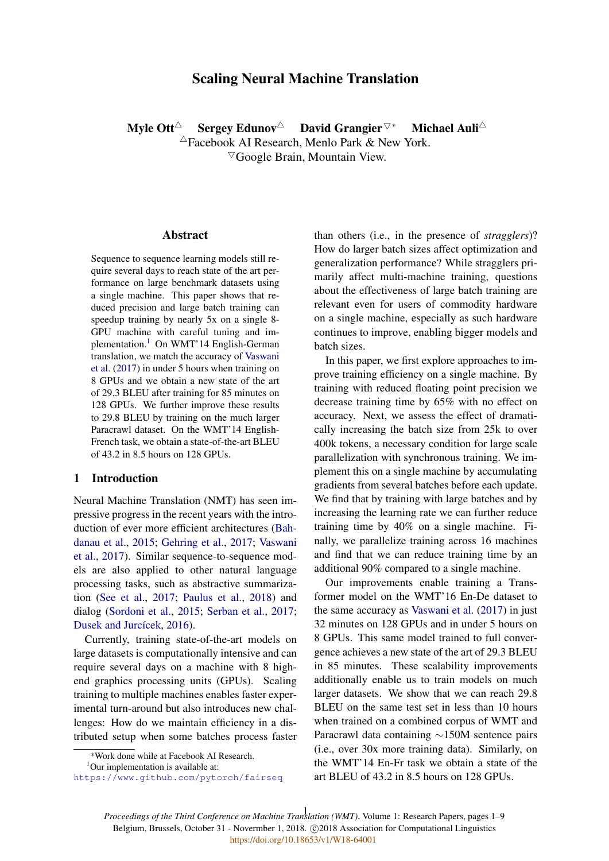# Scaling Neural Machine Translation

Myle Ott<sup>∆</sup> Sergey Edunov<sup>∆</sup> David Grangier<sup> $\nabla^*$ </sup> Michael Auli<sup>∆</sup>

 $\triangle$ Facebook AI Research, Menlo Park & New York.  $\nabla$ Google Brain, Mountain View.

## Abstract

Sequence to sequence learning models still require several days to reach state of the art performance on large benchmark datasets using a single machine. This paper shows that reduced precision and large batch training can speedup training by nearly 5x on a single 8- GPU machine with careful tuning and implementation.<sup>1</sup> On WMT'14 English-German translation, we match the accuracy of Vaswani et al. (2017) in under 5 hours when training on 8 GPUs and we obtain a new state of the art of 29.3 BLEU after training for 85 minutes on 128 GPUs. We further improve these results to 29.8 BLEU by training on the much larger Paracrawl dataset. On the WMT'14 English-French task, we obtain a state-of-the-art BLEU of 43.2 in 8.5 hours on 128 GPUs.

### 1 Introduction

Neural Machine Translation (NMT) has seen impressive progress in the recent years with the introduction of ever more efficient architectures (Bahdanau et al., 2015; Gehring et al., 2017; Vaswani et al., 2017). Similar sequence-to-sequence models are also applied to other natural language processing tasks, such as abstractive summarization (See et al., 2017; Paulus et al., 2018) and dialog (Sordoni et al., 2015; Serban et al., 2017; Dusek and Jurcícek, 2016).

Currently, training state-of-the-art models on large datasets is computationally intensive and can require several days on a machine with 8 highend graphics processing units (GPUs). Scaling training to multiple machines enables faster experimental turn-around but also introduces new challenges: How do we maintain efficiency in a distributed setup when some batches process faster

than others (i.e., in the presence of *stragglers*)? How do larger batch sizes affect optimization and generalization performance? While stragglers primarily affect multi-machine training, questions about the effectiveness of large batch training are relevant even for users of commodity hardware on a single machine, especially as such hardware continues to improve, enabling bigger models and batch sizes.

In this paper, we first explore approaches to improve training efficiency on a single machine. By training with reduced floating point precision we decrease training time by 65% with no effect on accuracy. Next, we assess the effect of dramatically increasing the batch size from 25k to over 400k tokens, a necessary condition for large scale parallelization with synchronous training. We implement this on a single machine by accumulating gradients from several batches before each update. We find that by training with large batches and by increasing the learning rate we can further reduce training time by 40% on a single machine. Finally, we parallelize training across 16 machines and find that we can reduce training time by an additional 90% compared to a single machine.

Our improvements enable training a Transformer model on the WMT'16 En-De dataset to the same accuracy as Vaswani et al. (2017) in just 32 minutes on 128 GPUs and in under 5 hours on 8 GPUs. This same model trained to full convergence achieves a new state of the art of 29.3 BLEU in 85 minutes. These scalability improvements additionally enable us to train models on much larger datasets. We show that we can reach 29.8 BLEU on the same test set in less than 10 hours when trained on a combined corpus of WMT and Paracrawl data containing ∼150M sentence pairs (i.e., over 30x more training data). Similarly, on the WMT'14 En-Fr task we obtain a state of the art BLEU of 43.2 in 8.5 hours on 128 GPUs.

*Proceedings of the Third Conference on Machine Translation (WMT)*, Volume 1: Research Papers, pages 1–9 1Belgium, Brussels, October 31 - Novermber 1, 2018. @2018 Association for Computational Linguistics <https://doi.org/10.18653/v1/W18-64001>

<sup>\*</sup>Work done while at Facebook AI Research.

 $1$ Our implementation is available at:

https://www.github.com/pytorch/fairseq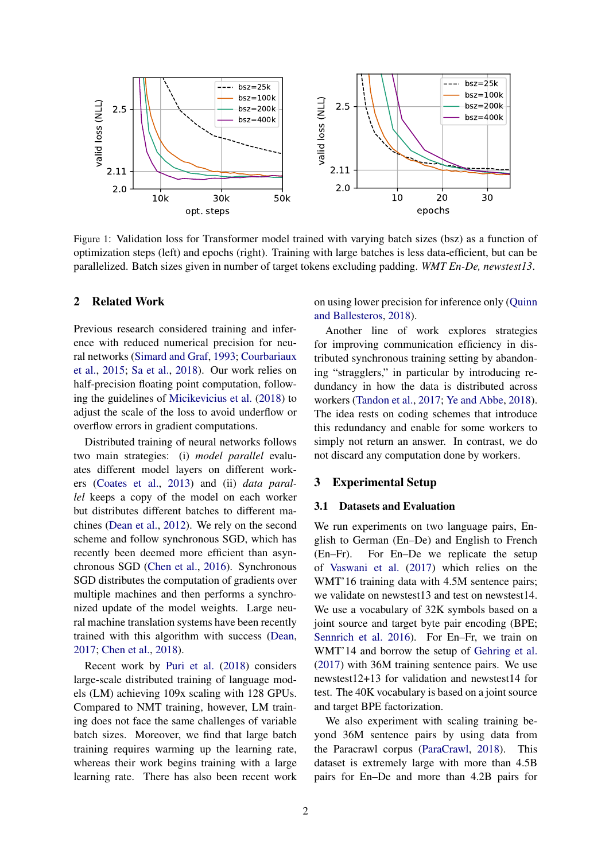

Figure 1: Validation loss for Transformer model trained with varying batch sizes (bsz) as a function of optimization steps (left) and epochs (right). Training with large batches is less data-efficient, but can be parallelized. Batch sizes given in number of target tokens excluding padding. *WMT En-De, newstest13*.

# 2 Related Work

Previous research considered training and inference with reduced numerical precision for neural networks (Simard and Graf, 1993; Courbariaux et al., 2015; Sa et al., 2018). Our work relies on half-precision floating point computation, following the guidelines of Micikevicius et al. (2018) to adjust the scale of the loss to avoid underflow or overflow errors in gradient computations.

Distributed training of neural networks follows two main strategies: (i) *model parallel* evaluates different model layers on different workers (Coates et al., 2013) and (ii) *data parallel* keeps a copy of the model on each worker but distributes different batches to different machines (Dean et al., 2012). We rely on the second scheme and follow synchronous SGD, which has recently been deemed more efficient than asynchronous SGD (Chen et al., 2016). Synchronous SGD distributes the computation of gradients over multiple machines and then performs a synchronized update of the model weights. Large neural machine translation systems have been recently trained with this algorithm with success (Dean, 2017; Chen et al., 2018).

Recent work by Puri et al. (2018) considers large-scale distributed training of language models (LM) achieving 109x scaling with 128 GPUs. Compared to NMT training, however, LM training does not face the same challenges of variable batch sizes. Moreover, we find that large batch training requires warming up the learning rate, whereas their work begins training with a large learning rate. There has also been recent work on using lower precision for inference only (Quinn and Ballesteros, 2018).

Another line of work explores strategies for improving communication efficiency in distributed synchronous training setting by abandoning "stragglers," in particular by introducing redundancy in how the data is distributed across workers (Tandon et al., 2017; Ye and Abbe, 2018). The idea rests on coding schemes that introduce this redundancy and enable for some workers to simply not return an answer. In contrast, we do not discard any computation done by workers.

### 3 Experimental Setup

#### 3.1 Datasets and Evaluation

We run experiments on two language pairs, English to German (En–De) and English to French (En–Fr). For En–De we replicate the setup of Vaswani et al. (2017) which relies on the WMT'16 training data with 4.5M sentence pairs; we validate on newstest13 and test on newstest14. We use a vocabulary of 32K symbols based on a joint source and target byte pair encoding (BPE; Sennrich et al. 2016). For En–Fr, we train on WMT'14 and borrow the setup of Gehring et al. (2017) with 36M training sentence pairs. We use newstest12+13 for validation and newstest14 for test. The 40K vocabulary is based on a joint source and target BPE factorization.

We also experiment with scaling training beyond 36M sentence pairs by using data from the Paracrawl corpus (ParaCrawl, 2018). This dataset is extremely large with more than 4.5B pairs for En–De and more than 4.2B pairs for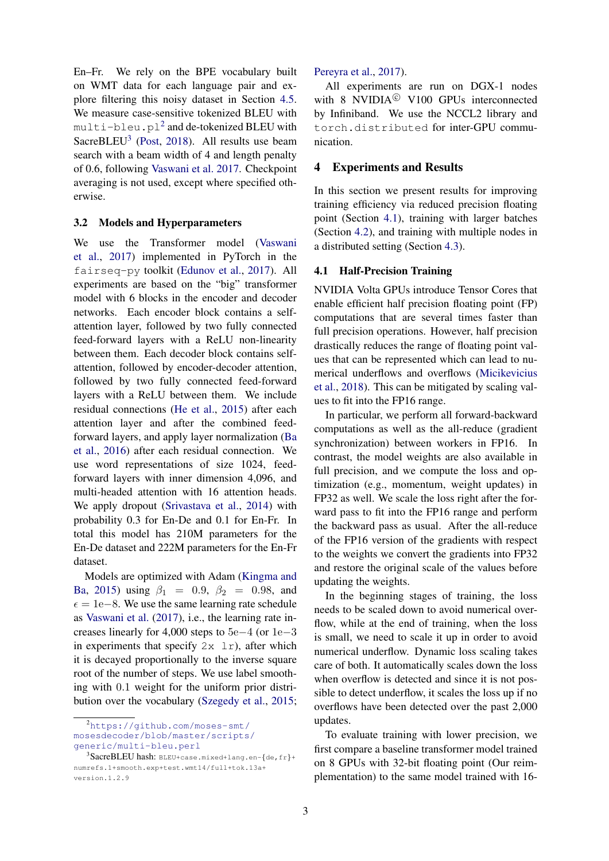En–Fr. We rely on the BPE vocabulary built on WMT data for each language pair and explore filtering this noisy dataset in Section 4.5. We measure case-sensitive tokenized BLEU with <code>multi-bleu.pl $^2$ </code> and de-tokenized <code>BLEU</code> with SacreBLEU<sup>3</sup> (Post, 2018). All results use beam search with a beam width of 4 and length penalty of 0.6, following Vaswani et al. 2017. Checkpoint averaging is not used, except where specified otherwise.

#### 3.2 Models and Hyperparameters

We use the Transformer model (Vaswani et al., 2017) implemented in PyTorch in the fairseq-py toolkit (Edunov et al., 2017). All experiments are based on the "big" transformer model with 6 blocks in the encoder and decoder networks. Each encoder block contains a selfattention layer, followed by two fully connected feed-forward layers with a ReLU non-linearity between them. Each decoder block contains selfattention, followed by encoder-decoder attention, followed by two fully connected feed-forward layers with a ReLU between them. We include residual connections (He et al., 2015) after each attention layer and after the combined feedforward layers, and apply layer normalization (Ba et al., 2016) after each residual connection. We use word representations of size 1024, feedforward layers with inner dimension 4,096, and multi-headed attention with 16 attention heads. We apply dropout (Srivastava et al., 2014) with probability 0.3 for En-De and 0.1 for En-Fr. In total this model has 210M parameters for the En-De dataset and 222M parameters for the En-Fr dataset.

Models are optimized with Adam (Kingma and Ba, 2015) using  $\beta_1 = 0.9, \ \beta_2 = 0.98, \ \text{and}$  $\epsilon = 1e-8$ . We use the same learning rate schedule as Vaswani et al. (2017), i.e., the learning rate increases linearly for 4,000 steps to 5e−4 (or 1e−3 in experiments that specify  $2x \ln x$ , after which it is decayed proportionally to the inverse square root of the number of steps. We use label smoothing with 0.1 weight for the uniform prior distribution over the vocabulary (Szegedy et al., 2015;

# Pereyra et al., 2017).

All experiments are run on DGX-1 nodes with 8 NVIDIA<sup> $©$ </sup> V100 GPUs interconnected by Infiniband. We use the NCCL2 library and torch.distributed for inter-GPU communication.

### 4 Experiments and Results

In this section we present results for improving training efficiency via reduced precision floating point (Section 4.1), training with larger batches (Section 4.2), and training with multiple nodes in a distributed setting (Section 4.3).

# 4.1 Half-Precision Training

NVIDIA Volta GPUs introduce Tensor Cores that enable efficient half precision floating point (FP) computations that are several times faster than full precision operations. However, half precision drastically reduces the range of floating point values that can be represented which can lead to numerical underflows and overflows (Micikevicius et al., 2018). This can be mitigated by scaling values to fit into the FP16 range.

In particular, we perform all forward-backward computations as well as the all-reduce (gradient synchronization) between workers in FP16. In contrast, the model weights are also available in full precision, and we compute the loss and optimization (e.g., momentum, weight updates) in FP32 as well. We scale the loss right after the forward pass to fit into the FP16 range and perform the backward pass as usual. After the all-reduce of the FP16 version of the gradients with respect to the weights we convert the gradients into FP32 and restore the original scale of the values before updating the weights.

In the beginning stages of training, the loss needs to be scaled down to avoid numerical overflow, while at the end of training, when the loss is small, we need to scale it up in order to avoid numerical underflow. Dynamic loss scaling takes care of both. It automatically scales down the loss when overflow is detected and since it is not possible to detect underflow, it scales the loss up if no overflows have been detected over the past 2,000 updates.

To evaluate training with lower precision, we first compare a baseline transformer model trained on 8 GPUs with 32-bit floating point (Our reimplementation) to the same model trained with 16-

<sup>2</sup>https://github.com/moses-smt/ mosesdecoder/blob/master/scripts/ generic/multi-bleu.perl

 $^3$ SacreBLEU hash: BLEU+case.mixed+lang.en-{de,fr}+ numrefs.1+smooth.exp+test.wmt14/full+tok.13a+ version.1.2.9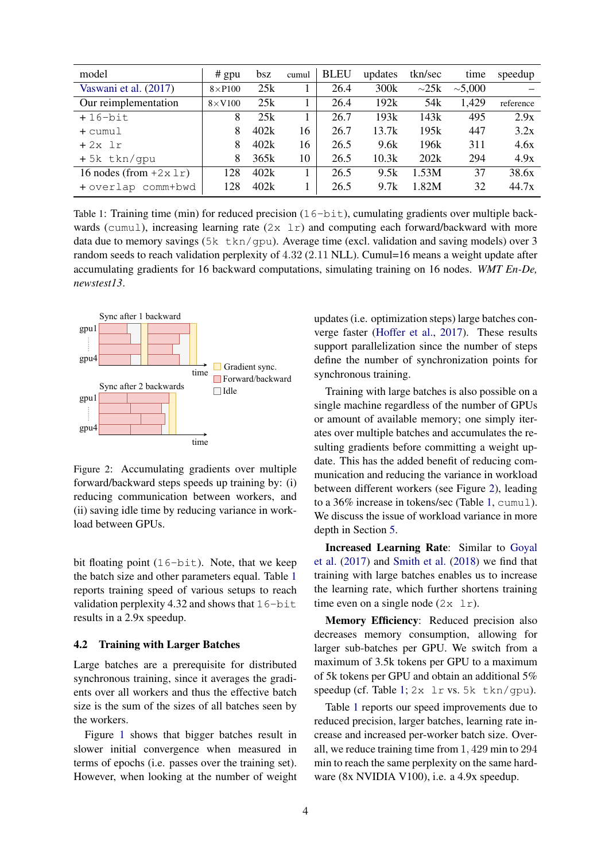| model                        | $#$ gpu        | bsz  | cumul | <b>BLEU</b> | updates | tkn/sec         | time         | speedup   |
|------------------------------|----------------|------|-------|-------------|---------|-----------------|--------------|-----------|
| Vaswani et al. (2017)        | $8\times$ P100 | 25k  |       | 26.4        | 300k    | $\sim$ 25k      | $\sim 5,000$ |           |
| Our reimplementation         | $8\times$ V100 | 25k  |       | 26.4        | 192k    | 54 <sub>k</sub> | 1,429        | reference |
| $+16$ -bit                   | 8              | 25k  |       | 26.7        | 193k    | 143k            | 495          | 2.9x      |
| + cumul                      | 8              | 402k | 16    | 26.7        | 13.7k   | 195k            | 447          | 3.2x      |
| $+2x$ 1r                     | 8              | 402k | 16    | 26.5        | 9.6k    | 196k            | 311          | 4.6x      |
| +5k tkn/qpu                  | 8              | 365k | 10    | 26.5        | 10.3k   | 202k            | 294          | 4.9x      |
| 16 nodes (from $+2x \ln x$ ) | 128            | 402k |       | 26.5        | 9.5k    | 1.53M           | 37           | 38.6x     |
| + overlap comm+bwd           | 128            | 402k |       | 26.5        | 9.7k    | 1.82M           | 32           | 44.7x     |

Table 1: Training time (min) for reduced precision (16-bit), cumulating gradients over multiple backwards (cumul), increasing learning rate  $(2x \ln x)$  and computing each forward/backward with more data due to memory savings (5k tkn/qpu). Average time (excl. validation and saving models) over 3 random seeds to reach validation perplexity of 4.32 (2.11 NLL). Cumul=16 means a weight update after accumulating gradients for 16 backward computations, simulating training on 16 nodes. *WMT En-De, newstest13*.



Figure 2: Accumulating gradients over multiple forward/backward steps speeds up training by: (i) reducing communication between workers, and (ii) saving idle time by reducing variance in workload between GPUs.

bit floating point  $(16-bit)$ . Note, that we keep the batch size and other parameters equal. Table 1 reports training speed of various setups to reach validation perplexity 4.32 and shows that  $16$ -bit results in a 2.9x speedup.

### 4.2 Training with Larger Batches

Large batches are a prerequisite for distributed synchronous training, since it averages the gradients over all workers and thus the effective batch size is the sum of the sizes of all batches seen by the workers.

Figure 1 shows that bigger batches result in slower initial convergence when measured in terms of epochs (i.e. passes over the training set). However, when looking at the number of weight updates (i.e. optimization steps) large batches converge faster (Hoffer et al., 2017). These results support parallelization since the number of steps define the number of synchronization points for synchronous training.

Training with large batches is also possible on a single machine regardless of the number of GPUs or amount of available memory; one simply iterates over multiple batches and accumulates the resulting gradients before committing a weight update. This has the added benefit of reducing communication and reducing the variance in workload between different workers (see Figure 2), leading to a 36% increase in tokens/sec (Table 1, cumul). We discuss the issue of workload variance in more depth in Section 5.

Increased Learning Rate: Similar to Goyal et al. (2017) and Smith et al. (2018) we find that training with large batches enables us to increase the learning rate, which further shortens training time even on a single node  $(2x \ 1r)$ .

Memory Efficiency: Reduced precision also decreases memory consumption, allowing for larger sub-batches per GPU. We switch from a maximum of 3.5k tokens per GPU to a maximum of 5k tokens per GPU and obtain an additional 5% speedup (cf. Table 1; 2x lr vs. 5k tkn/gpu).

Table 1 reports our speed improvements due to reduced precision, larger batches, learning rate increase and increased per-worker batch size. Overall, we reduce training time from 1, 429 min to 294 min to reach the same perplexity on the same hardware (8x NVIDIA V100), i.e. a 4.9x speedup.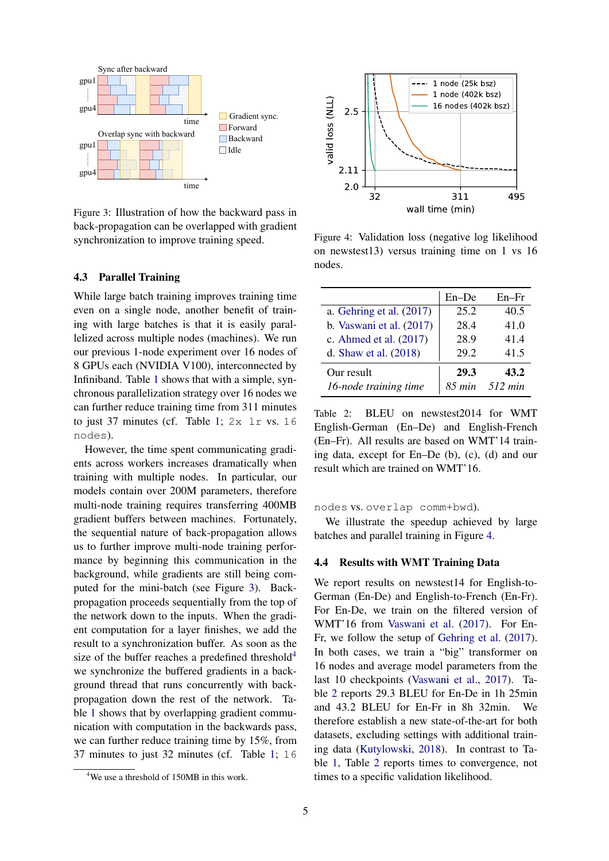

Figure 3: Illustration of how the backward pass in back-propagation can be overlapped with gradient synchronization to improve training speed.

# 4.3 Parallel Training

While large batch training improves training time even on a single node, another benefit of training with large batches is that it is easily parallelized across multiple nodes (machines). We run our previous 1-node experiment over 16 nodes of 8 GPUs each (NVIDIA V100), interconnected by Infiniband. Table 1 shows that with a simple, synchronous parallelization strategy over 16 nodes we can further reduce training time from 311 minutes to just 37 minutes (cf. Table 1; 2x lr vs. 16 nodes).

However, the time spent communicating gradients across workers increases dramatically when training with multiple nodes. In particular, our models contain over 200M parameters, therefore multi-node training requires transferring 400MB gradient buffers between machines. Fortunately, the sequential nature of back-propagation allows us to further improve multi-node training performance by beginning this communication in the background, while gradients are still being computed for the mini-batch (see Figure 3). Backpropagation proceeds sequentially from the top of the network down to the inputs. When the gradient computation for a layer finishes, we add the result to a synchronization buffer. As soon as the size of the buffer reaches a predefined threshold<sup>4</sup> we synchronize the buffered gradients in a background thread that runs concurrently with backpropagation down the rest of the network. Table 1 shows that by overlapping gradient communication with computation in the backwards pass, we can further reduce training time by 15%, from 37 minutes to just 32 minutes (cf. Table 1; 16



Figure 4: Validation loss (negative log likelihood on newstest13) versus training time on 1 vs 16 nodes.

|                            | En-De  | $En-Fr$ |
|----------------------------|--------|---------|
| a. Gehring et al. $(2017)$ | 25.2   | 40.5    |
| b. Vaswani et al. (2017)   | 28.4   | 41.0    |
| c. Ahmed et al. (2017)     | 28.9   | 41.4    |
| d. Shaw et al. $(2018)$    | 29.2   | 41.5    |
| Our result                 | 29.3   | 43.2    |
| 16-node training time      | 85 min | 512 min |

Table 2: BLEU on newstest2014 for WMT English-German (En–De) and English-French (En–Fr). All results are based on WMT'14 training data, except for En–De (b), (c), (d) and our result which are trained on WMT'16.

nodes vs. overlap comm+bwd).

We illustrate the speedup achieved by large batches and parallel training in Figure 4.

#### 4.4 Results with WMT Training Data

We report results on newstest14 for English-to-German (En-De) and English-to-French (En-Fr). For En-De, we train on the filtered version of WMT'16 from Vaswani et al. (2017). For En-Fr, we follow the setup of Gehring et al. (2017). In both cases, we train a "big" transformer on 16 nodes and average model parameters from the last 10 checkpoints (Vaswani et al., 2017). Table 2 reports 29.3 BLEU for En-De in 1h 25min and 43.2 BLEU for En-Fr in 8h 32min. We therefore establish a new state-of-the-art for both datasets, excluding settings with additional training data (Kutylowski, 2018). In contrast to Table 1, Table 2 reports times to convergence, not times to a specific validation likelihood.

<sup>&</sup>lt;sup>4</sup>We use a threshold of 150MB in this work.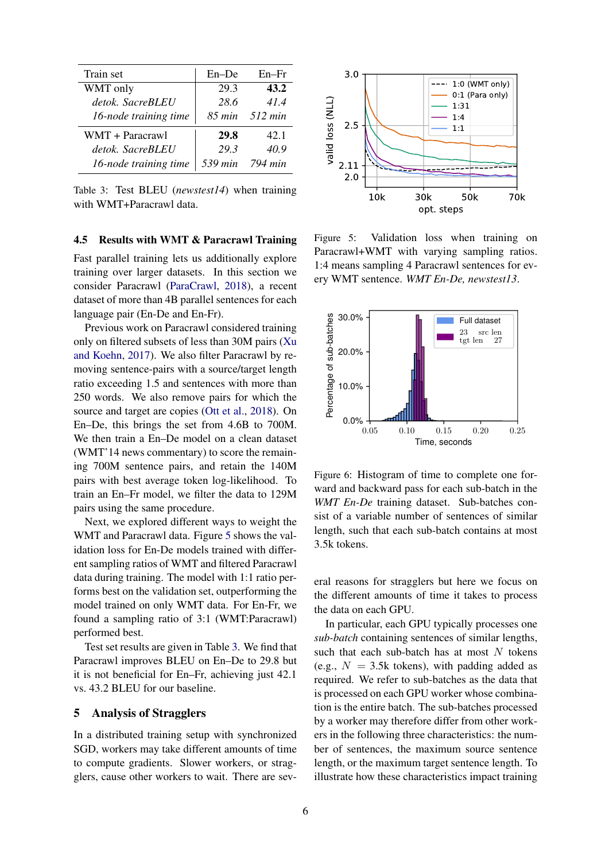| Train set             | $En - De$   | $En-Fr$ |
|-----------------------|-------------|---------|
| WMT only              | 29.3        | 43.2    |
| detok. SacreBLEU      | 28.6        | 41.4    |
| 16-node training time | $85 \, min$ | 512 min |
| WMT + Paracrawl       | 29.8        | 42.1    |
| detok. SacreBLEU      | 29.3        | 40.9    |
| 16-node training time | 539 min     | 794 min |

Table 3: Test BLEU (*newstest14*) when training with WMT+Paracrawl data.

### 4.5 Results with WMT & Paracrawl Training

Fast parallel training lets us additionally explore training over larger datasets. In this section we consider Paracrawl (ParaCrawl, 2018), a recent dataset of more than 4B parallel sentences for each language pair (En-De and En-Fr).

Previous work on Paracrawl considered training only on filtered subsets of less than 30M pairs (Xu and Koehn, 2017). We also filter Paracrawl by removing sentence-pairs with a source/target length ratio exceeding 1.5 and sentences with more than 250 words. We also remove pairs for which the source and target are copies (Ott et al., 2018). On En–De, this brings the set from 4.6B to 700M. We then train a En–De model on a clean dataset (WMT'14 news commentary) to score the remaining 700M sentence pairs, and retain the 140M pairs with best average token log-likelihood. To train an En–Fr model, we filter the data to 129M pairs using the same procedure.

Next, we explored different ways to weight the WMT and Paracrawl data. Figure 5 shows the validation loss for En-De models trained with different sampling ratios of WMT and filtered Paracrawl data during training. The model with 1:1 ratio performs best on the validation set, outperforming the model trained on only WMT data. For En-Fr, we found a sampling ratio of 3:1 (WMT:Paracrawl) performed best.

Test set results are given in Table 3. We find that Paracrawl improves BLEU on En–De to 29.8 but it is not beneficial for En–Fr, achieving just 42.1 vs. 43.2 BLEU for our baseline.

# 5 Analysis of Stragglers

In a distributed training setup with synchronized SGD, workers may take different amounts of time to compute gradients. Slower workers, or stragglers, cause other workers to wait. There are sev-



Figure 5: Validation loss when training on Paracrawl+WMT with varying sampling ratios. 1:4 means sampling 4 Paracrawl sentences for every WMT sentence. *WMT En-De, newstest13*.



Figure 6: Histogram of time to complete one forward and backward pass for each sub-batch in the *WMT En-De* training dataset. Sub-batches consist of a variable number of sentences of similar length, such that each sub-batch contains at most 3.5k tokens.

eral reasons for stragglers but here we focus on the different amounts of time it takes to process the data on each GPU.

In particular, each GPU typically processes one *sub-batch* containing sentences of similar lengths, such that each sub-batch has at most  $N$  tokens (e.g.,  $N = 3.5k$  tokens), with padding added as required. We refer to sub-batches as the data that is processed on each GPU worker whose combination is the entire batch. The sub-batches processed by a worker may therefore differ from other workers in the following three characteristics: the number of sentences, the maximum source sentence length, or the maximum target sentence length. To illustrate how these characteristics impact training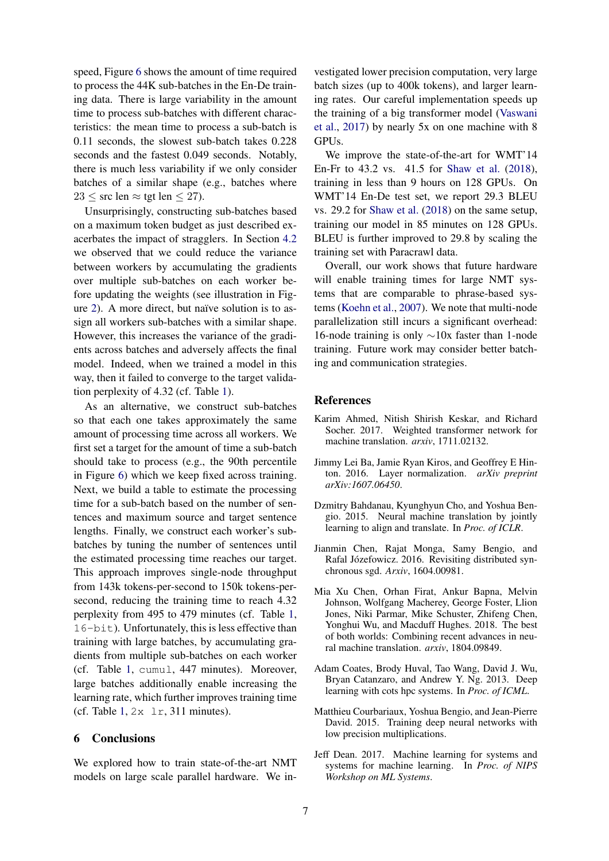speed, Figure 6 shows the amount of time required to process the 44K sub-batches in the En-De training data. There is large variability in the amount time to process sub-batches with different characteristics: the mean time to process a sub-batch is 0.11 seconds, the slowest sub-batch takes 0.228 seconds and the fastest 0.049 seconds. Notably, there is much less variability if we only consider batches of a similar shape (e.g., batches where  $23 \le$  src len  $\approx$  tgt len  $\leq$  27).

Unsurprisingly, constructing sub-batches based on a maximum token budget as just described exacerbates the impact of stragglers. In Section 4.2 we observed that we could reduce the variance between workers by accumulating the gradients over multiple sub-batches on each worker before updating the weights (see illustration in Figure 2). A more direct, but naïve solution is to assign all workers sub-batches with a similar shape. However, this increases the variance of the gradients across batches and adversely affects the final model. Indeed, when we trained a model in this way, then it failed to converge to the target validation perplexity of 4.32 (cf. Table 1).

As an alternative, we construct sub-batches so that each one takes approximately the same amount of processing time across all workers. We first set a target for the amount of time a sub-batch should take to process (e.g., the 90th percentile in Figure 6) which we keep fixed across training. Next, we build a table to estimate the processing time for a sub-batch based on the number of sentences and maximum source and target sentence lengths. Finally, we construct each worker's subbatches by tuning the number of sentences until the estimated processing time reaches our target. This approach improves single-node throughput from 143k tokens-per-second to 150k tokens-persecond, reducing the training time to reach 4.32 perplexity from 495 to 479 minutes (cf. Table 1, 16-bit). Unfortunately, this is less effective than training with large batches, by accumulating gradients from multiple sub-batches on each worker (cf. Table 1, cumul, 447 minutes). Moreover, large batches additionally enable increasing the learning rate, which further improves training time (cf. Table  $1, 2x \text{lr}, 311 \text{ minutes}$ ).

# 6 Conclusions

We explored how to train state-of-the-art NMT models on large scale parallel hardware. We in-

vestigated lower precision computation, very large batch sizes (up to 400k tokens), and larger learning rates. Our careful implementation speeds up the training of a big transformer model (Vaswani et al., 2017) by nearly 5x on one machine with 8 GPUs.

We improve the state-of-the-art for WMT'14 En-Fr to 43.2 vs. 41.5 for Shaw et al. (2018), training in less than 9 hours on 128 GPUs. On WMT'14 En-De test set, we report 29.3 BLEU vs. 29.2 for Shaw et al. (2018) on the same setup, training our model in 85 minutes on 128 GPUs. BLEU is further improved to 29.8 by scaling the training set with Paracrawl data.

Overall, our work shows that future hardware will enable training times for large NMT systems that are comparable to phrase-based systems (Koehn et al., 2007). We note that multi-node parallelization still incurs a significant overhead: 16-node training is only ∼10x faster than 1-node training. Future work may consider better batching and communication strategies.

# References

- Karim Ahmed, Nitish Shirish Keskar, and Richard Socher. 2017. Weighted transformer network for machine translation. *arxiv*, 1711.02132.
- Jimmy Lei Ba, Jamie Ryan Kiros, and Geoffrey E Hinton. 2016. Layer normalization. *arXiv preprint arXiv:1607.06450*.
- Dzmitry Bahdanau, Kyunghyun Cho, and Yoshua Bengio. 2015. Neural machine translation by jointly learning to align and translate. In *Proc. of ICLR*.
- Jianmin Chen, Rajat Monga, Samy Bengio, and Rafal Józefowicz. 2016. Revisiting distributed synchronous sgd. *Arxiv*, 1604.00981.
- Mia Xu Chen, Orhan Firat, Ankur Bapna, Melvin Johnson, Wolfgang Macherey, George Foster, Llion Jones, Niki Parmar, Mike Schuster, Zhifeng Chen, Yonghui Wu, and Macduff Hughes. 2018. The best of both worlds: Combining recent advances in neural machine translation. *arxiv*, 1804.09849.
- Adam Coates, Brody Huval, Tao Wang, David J. Wu, Bryan Catanzaro, and Andrew Y. Ng. 2013. Deep learning with cots hpc systems. In *Proc. of ICML*.
- Matthieu Courbariaux, Yoshua Bengio, and Jean-Pierre David. 2015. Training deep neural networks with low precision multiplications.
- Jeff Dean. 2017. Machine learning for systems and systems for machine learning. In *Proc. of NIPS Workshop on ML Systems*.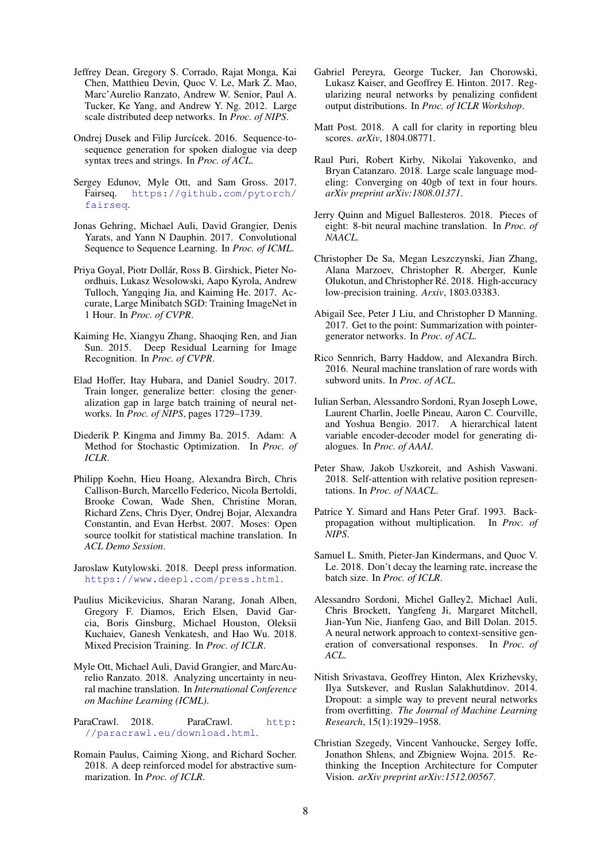- Jeffrey Dean, Gregory S. Corrado, Rajat Monga, Kai Chen, Matthieu Devin, Quoc V. Le, Mark Z. Mao, Marc'Aurelio Ranzato, Andrew W. Senior, Paul A. Tucker, Ke Yang, and Andrew Y. Ng. 2012. Large scale distributed deep networks. In *Proc. of NIPS*.
- Ondrej Dusek and Filip Jurcícek. 2016. Sequence-tosequence generation for spoken dialogue via deep syntax trees and strings. In *Proc. of ACL*.
- Sergey Edunov, Myle Ott, and Sam Gross. 2017. Fairseq. https://github.com/pytorch/ fairseq.
- Jonas Gehring, Michael Auli, David Grangier, Denis Yarats, and Yann N Dauphin. 2017. Convolutional Sequence to Sequence Learning. In *Proc. of ICML*.
- Priya Goyal, Piotr Dollar, Ross B. Girshick, Pieter No- ´ ordhuis, Lukasz Wesolowski, Aapo Kyrola, Andrew Tulloch, Yangqing Jia, and Kaiming He. 2017. Accurate, Large Minibatch SGD: Training ImageNet in 1 Hour. In *Proc. of CVPR*.
- Kaiming He, Xiangyu Zhang, Shaoqing Ren, and Jian Sun. 2015. Deep Residual Learning for Image Recognition. In *Proc. of CVPR*.
- Elad Hoffer, Itay Hubara, and Daniel Soudry. 2017. Train longer, generalize better: closing the generalization gap in large batch training of neural networks. In *Proc. of NIPS*, pages 1729–1739.
- Diederik P. Kingma and Jimmy Ba. 2015. Adam: A Method for Stochastic Optimization. In *Proc. of ICLR*.
- Philipp Koehn, Hieu Hoang, Alexandra Birch, Chris Callison-Burch, Marcello Federico, Nicola Bertoldi, Brooke Cowan, Wade Shen, Christine Moran, Richard Zens, Chris Dyer, Ondrej Bojar, Alexandra Constantin, and Evan Herbst. 2007. Moses: Open source toolkit for statistical machine translation. In *ACL Demo Session*.
- Jaroslaw Kutylowski. 2018. Deepl press information. https://www.deepl.com/press.html.
- Paulius Micikevicius, Sharan Narang, Jonah Alben, Gregory F. Diamos, Erich Elsen, David Garcia, Boris Ginsburg, Michael Houston, Oleksii Kuchaiev, Ganesh Venkatesh, and Hao Wu. 2018. Mixed Precision Training. In *Proc. of ICLR*.
- Myle Ott, Michael Auli, David Grangier, and MarcAurelio Ranzato. 2018. Analyzing uncertainty in neural machine translation. In *International Conference on Machine Learning (ICML)*.

ParaCrawl. 2018. ParaCrawl. http: //paracrawl.eu/download.html.

Romain Paulus, Caiming Xiong, and Richard Socher. 2018. A deep reinforced model for abstractive summarization. In *Proc. of ICLR*.

- Gabriel Pereyra, George Tucker, Jan Chorowski, Lukasz Kaiser, and Geoffrey E. Hinton. 2017. Regularizing neural networks by penalizing confident output distributions. In *Proc. of ICLR Workshop*.
- Matt Post. 2018. A call for clarity in reporting bleu scores. *arXiv*, 1804.08771.
- Raul Puri, Robert Kirby, Nikolai Yakovenko, and Bryan Catanzaro. 2018. Large scale language modeling: Converging on 40gb of text in four hours. *arXiv preprint arXiv:1808.01371*.
- Jerry Quinn and Miguel Ballesteros. 2018. Pieces of eight: 8-bit neural machine translation. In *Proc. of NAACL*.
- Christopher De Sa, Megan Leszczynski, Jian Zhang, Alana Marzoev, Christopher R. Aberger, Kunle Olukotun, and Christopher Ré. 2018. High-accuracy low-precision training. *Arxiv*, 1803.03383.
- Abigail See, Peter J Liu, and Christopher D Manning. 2017. Get to the point: Summarization with pointergenerator networks. In *Proc. of ACL*.
- Rico Sennrich, Barry Haddow, and Alexandra Birch. 2016. Neural machine translation of rare words with subword units. In *Proc. of ACL*.
- Iulian Serban, Alessandro Sordoni, Ryan Joseph Lowe, Laurent Charlin, Joelle Pineau, Aaron C. Courville, and Yoshua Bengio. 2017. A hierarchical latent variable encoder-decoder model for generating dialogues. In *Proc. of AAAI*.
- Peter Shaw, Jakob Uszkoreit, and Ashish Vaswani. 2018. Self-attention with relative position representations. In *Proc. of NAACL*.
- Patrice Y. Simard and Hans Peter Graf. 1993. Backpropagation without multiplication. In *Proc. of NIPS*.
- Samuel L. Smith, Pieter-Jan Kindermans, and Quoc V. Le. 2018. Don't decay the learning rate, increase the batch size. In *Proc. of ICLR*.
- Alessandro Sordoni, Michel Galley2, Michael Auli, Chris Brockett, Yangfeng Ji, Margaret Mitchell, Jian-Yun Nie, Jianfeng Gao, and Bill Dolan. 2015. A neural network approach to context-sensitive generation of conversational responses. In *Proc. of ACL*.
- Nitish Srivastava, Geoffrey Hinton, Alex Krizhevsky, Ilya Sutskever, and Ruslan Salakhutdinov. 2014. Dropout: a simple way to prevent neural networks from overfitting. *The Journal of Machine Learning Research*, 15(1):1929–1958.
- Christian Szegedy, Vincent Vanhoucke, Sergey Ioffe, Jonathon Shlens, and Zbigniew Wojna. 2015. Rethinking the Inception Architecture for Computer Vision. *arXiv preprint arXiv:1512.00567*.